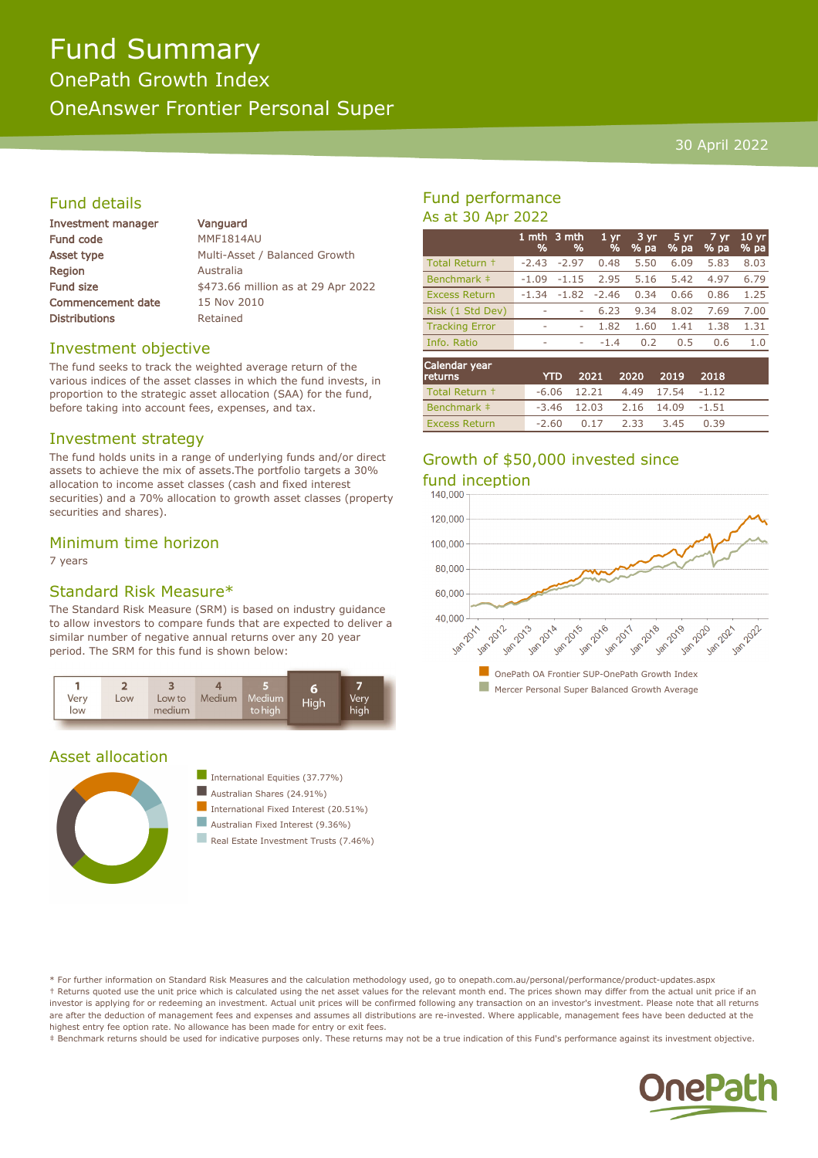# Fund Summary OnePath Growth Index

OneAnswer Frontier Personal Super

#### 30 April 2022

# Fund details

| Investment manager       | Vanguard                           |  |  |  |  |
|--------------------------|------------------------------------|--|--|--|--|
| <b>Fund code</b>         | <b>MMF1814AU</b>                   |  |  |  |  |
| Asset type               | Multi-Asset / Balanced Growth      |  |  |  |  |
| <b>Region</b>            | Australia                          |  |  |  |  |
| <b>Fund size</b>         | \$473.66 million as at 29 Apr 2022 |  |  |  |  |
| <b>Commencement date</b> | 15 Nov 2010                        |  |  |  |  |
| <b>Distributions</b>     | Retained                           |  |  |  |  |
|                          |                                    |  |  |  |  |

#### Investment objective

The fund seeks to track the weighted average return of the various indices of the asset classes in which the fund invests, in proportion to the strategic asset allocation (SAA) for the fund, before taking into account fees, expenses, and tax.

#### Investment strategy

The fund holds units in a range of underlying funds and/or direct assets to achieve the mix of assets.The portfolio targets a 30% allocation to income asset classes (cash and fixed interest securities) and a 70% allocation to growth asset classes (property securities and shares).

### Minimum time horizon

7 years

# Standard Risk Measure\*

The Standard Risk Measure (SRM) is based on industry guidance to allow investors to compare funds that are expected to deliver a similar number of negative annual returns over any 20 year period. The SRM for this fund is shown below:



# Asset allocation





Real Estate Investment Trusts (7.46%)

# Fund performance As at 30 Apr 2022

|                          | 1 mth<br>% | 3 mth<br>% | 1 <sub>yr</sub><br>% | 3 yr<br>$%$ pa | $5 \, yr$<br>$%$ pa | $7 \, \text{yr}$<br>% pa | 10 <sub>yr</sub><br>% pa |
|--------------------------|------------|------------|----------------------|----------------|---------------------|--------------------------|--------------------------|
| Total Return +           | $-2.43$    | $-2.97$    | 0.48                 | 5.50           | 6.09                | 5.83                     | 8.03                     |
| Benchmark ‡              | $-1.09$    | $-1.15$    | 2.95                 | 5.16           | 5.42                | 4.97                     | 6.79                     |
| <b>Excess Return</b>     | $-1.34$    | $-1.82$    | $-2.46$              | 0.34           | 0.66                | 0.86                     | 1.25                     |
| Risk (1 Std Dev)         | ۰          | ۰          | 6.23                 | 9.34           | 8.02                | 7.69                     | 7.00                     |
| <b>Tracking Error</b>    | ۰          | ۰          | 1.82                 | 1.60           | 1.41                | 1.38                     | 1.31                     |
| Info. Ratio              | ۰          | ۰          | $-1.4$               | 0.2            | 0.5                 | 0.6                      | 1.0                      |
| Calendar year<br>returns |            | YTD        | 2021                 | 2020           | 2019                | 2018                     |                          |

| <b>returns</b>       |       | YTD 2021 2020 2019 2018          |      |      |      |  |
|----------------------|-------|----------------------------------|------|------|------|--|
| Total Return +       |       | $-6.06$ 12.21 4.49 17.54 $-1.12$ |      |      |      |  |
| Benchmark ‡          |       | $-3.46$ 12.03 2.16 14.09 $-1.51$ |      |      |      |  |
| <b>Excess Return</b> | -2.60 | 0.17                             | 2.33 | 3.45 | 0.39 |  |

# Growth of \$50,000 invested since fund inception



\* For further information on Standard Risk Measures and the calculation methodology used, go to onepath.com.au/personal/performance/product-updates.aspx † Returns quoted use the unit price which is calculated using the net asset values for the relevant month end. The prices shown may differ from the actual unit price if an investor is applying for or redeeming an investment. Actual unit prices will be confirmed following any transaction on an investor's investment. Please note that all returns are after the deduction of management fees and expenses and assumes all distributions are re-invested. Where applicable, management fees have been deducted at the highest entry fee option rate. No allowance has been made for entry or exit fees.

‡ Benchmark returns should be used for indicative purposes only. These returns may not be a true indication of this Fund's performance against its investment objective.